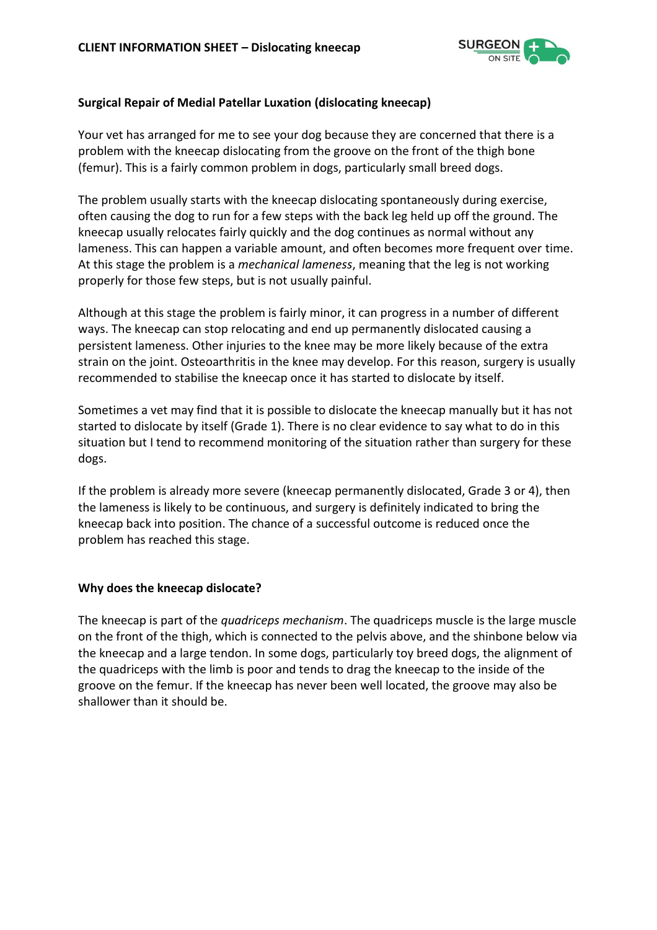

# **Surgical Repair of Medial Patellar Luxation (dislocating kneecap)**

Your vet has arranged for me to see your dog because they are concerned that there is a problem with the kneecap dislocating from the groove on the front of the thigh bone (femur). This is a fairly common problem in dogs, particularly small breed dogs.

The problem usually starts with the kneecap dislocating spontaneously during exercise, often causing the dog to run for a few steps with the back leg held up off the ground. The kneecap usually relocates fairly quickly and the dog continues as normal without any lameness. This can happen a variable amount, and often becomes more frequent over time. At this stage the problem is a *mechanical lameness*, meaning that the leg is not working properly for those few steps, but is not usually painful.

Although at this stage the problem is fairly minor, it can progress in a number of different ways. The kneecap can stop relocating and end up permanently dislocated causing a persistent lameness. Other injuries to the knee may be more likely because of the extra strain on the joint. Osteoarthritis in the knee may develop. For this reason, surgery is usually recommended to stabilise the kneecap once it has started to dislocate by itself.

Sometimes a vet may find that it is possible to dislocate the kneecap manually but it has not started to dislocate by itself (Grade 1). There is no clear evidence to say what to do in this situation but I tend to recommend monitoring of the situation rather than surgery for these dogs.

If the problem is already more severe (kneecap permanently dislocated, Grade 3 or 4), then the lameness is likely to be continuous, and surgery is definitely indicated to bring the kneecap back into position. The chance of a successful outcome is reduced once the problem has reached this stage.

### **Why does the kneecap dislocate?**

The kneecap is part of the *quadriceps mechanism*. The quadriceps muscle is the large muscle on the front of the thigh, which is connected to the pelvis above, and the shinbone below via the kneecap and a large tendon. In some dogs, particularly toy breed dogs, the alignment of the quadriceps with the limb is poor and tends to drag the kneecap to the inside of the groove on the femur. If the kneecap has never been well located, the groove may also be shallower than it should be.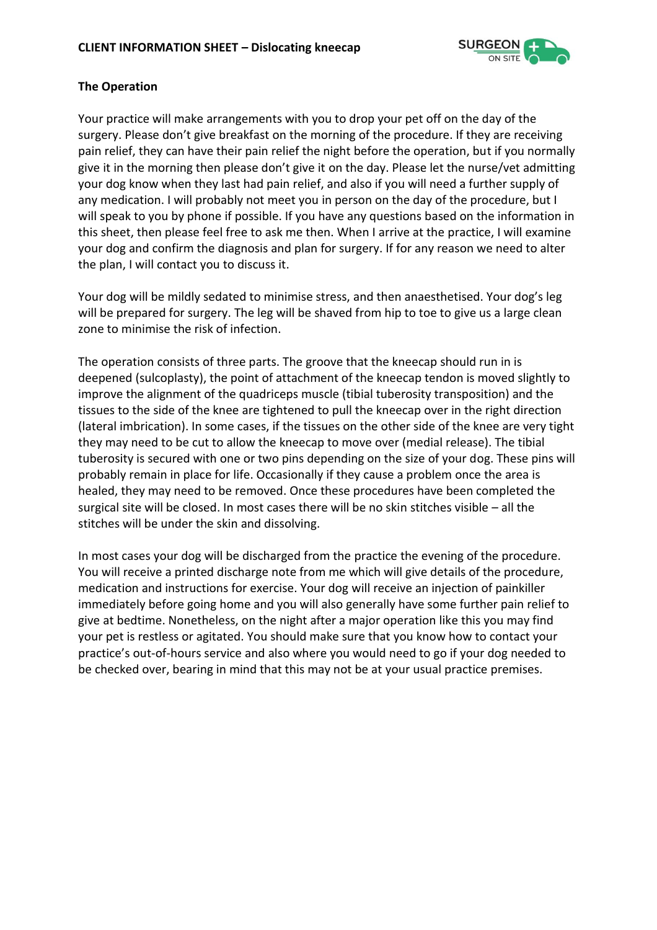

# **The Operation**

Your practice will make arrangements with you to drop your pet off on the day of the surgery. Please don't give breakfast on the morning of the procedure. If they are receiving pain relief, they can have their pain relief the night before the operation, but if you normally give it in the morning then please don't give it on the day. Please let the nurse/vet admitting your dog know when they last had pain relief, and also if you will need a further supply of any medication. I will probably not meet you in person on the day of the procedure, but I will speak to you by phone if possible. If you have any questions based on the information in this sheet, then please feel free to ask me then. When I arrive at the practice, I will examine your dog and confirm the diagnosis and plan for surgery. If for any reason we need to alter the plan, I will contact you to discuss it.

Your dog will be mildly sedated to minimise stress, and then anaesthetised. Your dog's leg will be prepared for surgery. The leg will be shaved from hip to toe to give us a large clean zone to minimise the risk of infection.

The operation consists of three parts. The groove that the kneecap should run in is deepened (sulcoplasty), the point of attachment of the kneecap tendon is moved slightly to improve the alignment of the quadriceps muscle (tibial tuberosity transposition) and the tissues to the side of the knee are tightened to pull the kneecap over in the right direction (lateral imbrication). In some cases, if the tissues on the other side of the knee are very tight they may need to be cut to allow the kneecap to move over (medial release). The tibial tuberosity is secured with one or two pins depending on the size of your dog. These pins will probably remain in place for life. Occasionally if they cause a problem once the area is healed, they may need to be removed. Once these procedures have been completed the surgical site will be closed. In most cases there will be no skin stitches visible – all the stitches will be under the skin and dissolving.

In most cases your dog will be discharged from the practice the evening of the procedure. You will receive a printed discharge note from me which will give details of the procedure, medication and instructions for exercise. Your dog will receive an injection of painkiller immediately before going home and you will also generally have some further pain relief to give at bedtime. Nonetheless, on the night after a major operation like this you may find your pet is restless or agitated. You should make sure that you know how to contact your practice's out-of-hours service and also where you would need to go if your dog needed to be checked over, bearing in mind that this may not be at your usual practice premises.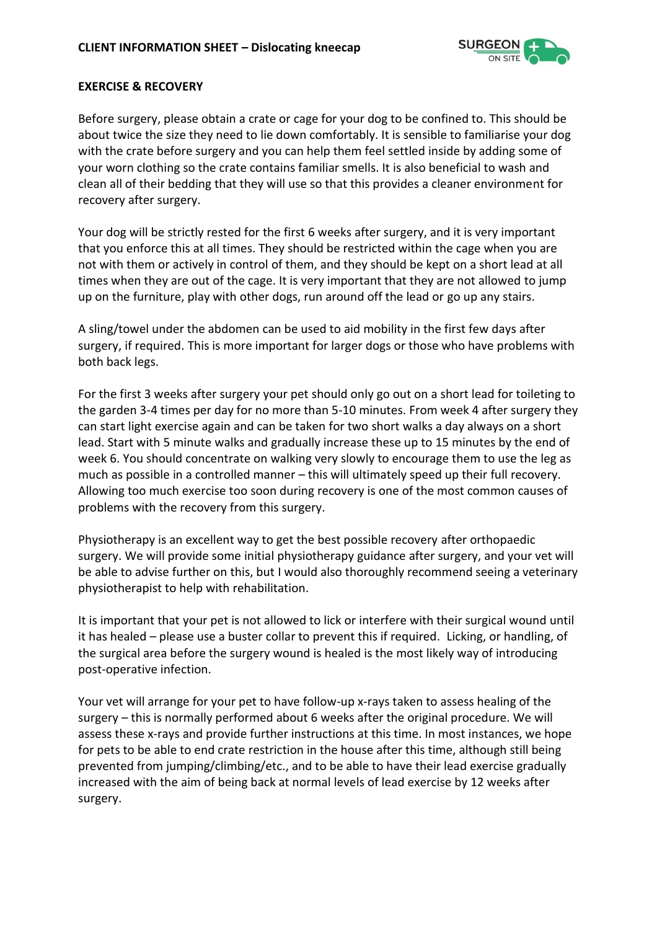

#### **EXERCISE & RECOVERY**

Before surgery, please obtain a crate or cage for your dog to be confined to. This should be about twice the size they need to lie down comfortably. It is sensible to familiarise your dog with the crate before surgery and you can help them feel settled inside by adding some of your worn clothing so the crate contains familiar smells. It is also beneficial to wash and clean all of their bedding that they will use so that this provides a cleaner environment for recovery after surgery.

Your dog will be strictly rested for the first 6 weeks after surgery, and it is very important that you enforce this at all times. They should be restricted within the cage when you are not with them or actively in control of them, and they should be kept on a short lead at all times when they are out of the cage. It is very important that they are not allowed to jump up on the furniture, play with other dogs, run around off the lead or go up any stairs.

A sling/towel under the abdomen can be used to aid mobility in the first few days after surgery, if required. This is more important for larger dogs or those who have problems with both back legs.

For the first 3 weeks after surgery your pet should only go out on a short lead for toileting to the garden 3-4 times per day for no more than 5-10 minutes. From week 4 after surgery they can start light exercise again and can be taken for two short walks a day always on a short lead. Start with 5 minute walks and gradually increase these up to 15 minutes by the end of week 6. You should concentrate on walking very slowly to encourage them to use the leg as much as possible in a controlled manner – this will ultimately speed up their full recovery. Allowing too much exercise too soon during recovery is one of the most common causes of problems with the recovery from this surgery.

Physiotherapy is an excellent way to get the best possible recovery after orthopaedic surgery. We will provide some initial physiotherapy guidance after surgery, and your vet will be able to advise further on this, but I would also thoroughly recommend seeing a veterinary physiotherapist to help with rehabilitation.

It is important that your pet is not allowed to lick or interfere with their surgical wound until it has healed – please use a buster collar to prevent this if required. Licking, or handling, of the surgical area before the surgery wound is healed is the most likely way of introducing post-operative infection.

Your vet will arrange for your pet to have follow-up x-rays taken to assess healing of the surgery – this is normally performed about 6 weeks after the original procedure. We will assess these x-rays and provide further instructions at this time. In most instances, we hope for pets to be able to end crate restriction in the house after this time, although still being prevented from jumping/climbing/etc., and to be able to have their lead exercise gradually increased with the aim of being back at normal levels of lead exercise by 12 weeks after surgery.